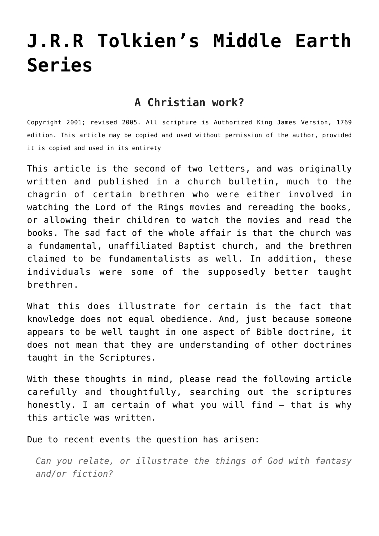# **[J.R.R Tolkien's Middle Earth](http://reproachofmen.org/spiritualwar/j-r-r-tolkiens-middle-earth-series/) [Series](http://reproachofmen.org/spiritualwar/j-r-r-tolkiens-middle-earth-series/)**

### **A Christian work?**

Copyright 2001; revised 2005. All scripture is Authorized King James Version, 1769 edition. This article may be copied and used without permission of the author, provided it is copied and used in its entirety

This article is the second of two letters, and was originally written and published in a church bulletin, much to the chagrin of certain brethren who were either involved in watching the Lord of the Rings movies and rereading the books, or allowing their children to watch the movies and read the books. The sad fact of the whole affair is that the church was a fundamental, unaffiliated Baptist church, and the brethren claimed to be fundamentalists as well. In addition, these individuals were some of the supposedly better taught brethren.

What this does illustrate for certain is the fact that knowledge does not equal obedience. And, just because someone appears to be well taught in one aspect of Bible doctrine, it does not mean that they are understanding of other doctrines taught in the Scriptures.

With these thoughts in mind, please read the following article carefully and thoughtfully, searching out the scriptures honestly. I am certain of what you will find — that is why this article was written.

Due to recent events the question has arisen:

*Can you relate, or illustrate the things of God with fantasy and/or fiction?*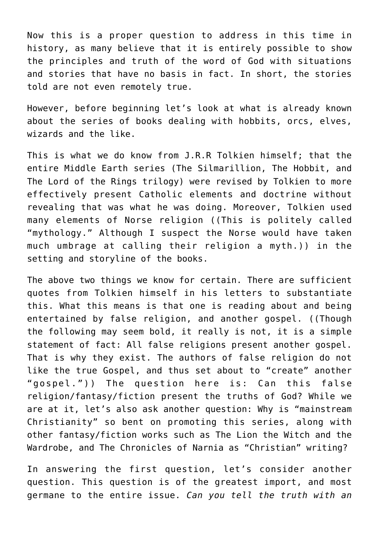Now this is a proper question to address in this time in history, as many believe that it is entirely possible to show the principles and truth of the word of God with situations and stories that have no basis in fact. In short, the stories told are not even remotely true.

However, before beginning let's look at what is already known about the series of books dealing with hobbits, orcs, elves, wizards and the like.

This is what we do know from J.R.R Tolkien himself; that the entire Middle Earth series (The Silmarillion, The Hobbit, and The Lord of the Rings trilogy) were revised by Tolkien to more effectively present Catholic elements and doctrine without revealing that was what he was doing. Moreover, Tolkien used many elements of Norse religion ((This is politely called "mythology." Although I suspect the Norse would have taken much umbrage at calling their religion a myth.)) in the setting and storyline of the books.

The above two things we know for certain. There are sufficient quotes from Tolkien himself in his letters to substantiate this. What this means is that one is reading about and being entertained by false religion, and another gospel. ((Though the following may seem bold, it really is not, it is a simple statement of fact: All false religions present another gospel. That is why they exist. The authors of false religion do not like the true Gospel, and thus set about to "create" another "gospel.")) The question here is: Can this false religion/fantasy/fiction present the truths of God? While we are at it, let's also ask another question: Why is "mainstream Christianity" so bent on promoting this series, along with other fantasy/fiction works such as The Lion the Witch and the Wardrobe, and The Chronicles of Narnia as "Christian" writing?

In answering the first question, let's consider another question. This question is of the greatest import, and most germane to the entire issue. *Can you tell the truth with an*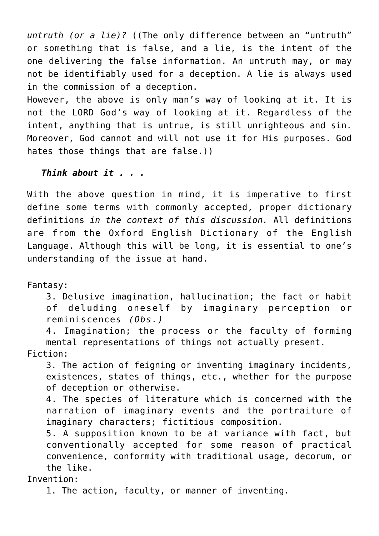*untruth (or a lie)?* ((The only difference between an "untruth" or something that is false, and a lie, is the intent of the one delivering the false information. An untruth may, or may not be identifiably used for a deception. A lie is always used in the commission of a deception.

However, the above is only man's way of looking at it. It is not the LORD God's way of looking at it. Regardless of the intent, anything that is untrue, is still unrighteous and sin. Moreover, God cannot and will not use it for His purposes. God hates those things that are false.))

*Think about it . . .*

With the above question in mind, it is imperative to first define some terms with commonly accepted, proper dictionary definitions *in the context of this discussion.* All definitions are from the Oxford English Dictionary of the English Language. Although this will be long, it is essential to one's understanding of the issue at hand.

Fantasy:

3. Delusive imagination, hallucination; the fact or habit of deluding oneself by imaginary perception or reminiscences *(Obs.)*

4. Imagination; the process or the faculty of forming mental representations of things not actually present. Fiction:

3. The action of feigning or inventing imaginary incidents, existences, states of things, etc., whether for the purpose of deception or otherwise.

4. The species of literature which is concerned with the narration of imaginary events and the portraiture of imaginary characters; fictitious composition.

5. A supposition known to be at variance with fact, but conventionally accepted for some reason of practical convenience, conformity with traditional usage, decorum, or the like.

Invention:

1. The action, faculty, or manner of inventing.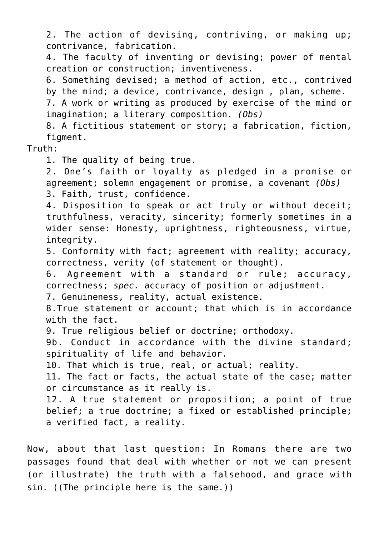2. The action of devising, contriving, or making up; contrivance, fabrication.

4. The faculty of inventing or devising; power of mental creation or construction; inventiveness.

6. Something devised; a method of action, etc., contrived by the mind; a device, contrivance, design , plan, scheme. 7. A work or writing as produced by exercise of the mind or

imagination; a literary composition. *(Obs)*

8. A fictitious statement or story; a fabrication, fiction, figment.

#### Truth:

1. The quality of being true.

2. One's faith or loyalty as pledged in a promise or agreement; solemn engagement or promise, a covenant *(Obs)* 3. Faith, trust, confidence.

4. Disposition to speak or act truly or without deceit; truthfulness, veracity, sincerity; formerly sometimes in a wider sense: Honesty, uprightness, righteousness, virtue, integrity.

5. Conformity with fact; agreement with reality; accuracy, correctness, verity (of statement or thought).

6. Agreement with a standard or rule; accuracy, correctness; *spec.* accuracy of position or adjustment.

7. Genuineness, reality, actual existence.

8.True statement or account; that which is in accordance with the fact.

9. True religious belief or doctrine; orthodoxy.

9b. Conduct in accordance with the divine standard; spirituality of life and behavior.

10. That which is true, real, or actual; reality.

11. The fact or facts, the actual state of the case; matter or circumstance as it really is.

12. A true statement or proposition; a point of true belief; a true doctrine; a fixed or established principle; a verified fact, a reality.

Now, about that last question: In Romans there are two passages found that deal with whether or not we can present (or illustrate) the truth with a falsehood, and grace with sin. ((The principle here is the same.))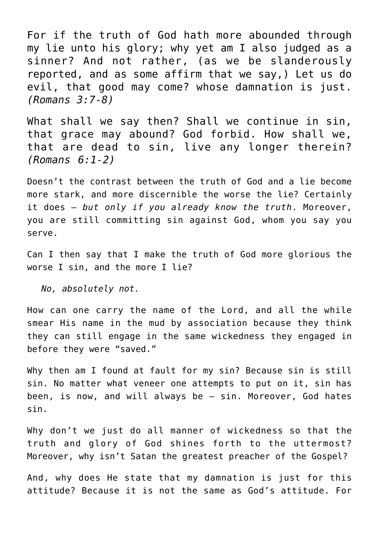For if the truth of God hath more abounded through my lie unto his glory; why yet am I also judged as a sinner? And not rather, (as we be slanderously reported, and as some affirm that we say,) Let us do evil, that good may come? whose damnation is just. *(Romans 3:7-8)*

What shall we say then? Shall we continue in sin, that grace may abound? God forbid. How shall we, that are dead to sin, live any longer therein? *(Romans 6:1-2)*

Doesn't the contrast between the truth of God and a lie become more stark, and more discernible the worse the lie? Certainly it does — *but only if you already know the truth*. Moreover, you are still committing sin against God, whom you say you serve.

Can I then say that I make the truth of God more glorious the worse I sin, and the more I lie?

*No, absolutely not.*

How can one carry the name of the Lord, and all the while smear His name in the mud by association because they think they can still engage in the same wickedness they engaged in before they were "saved."

Why then am I found at fault for my sin? Because sin is still sin. No matter what veneer one attempts to put on it, sin has been, is now, and will always be — sin. Moreover, God hates sin.

Why don't we just do all manner of wickedness so that the truth and glory of God shines forth to the uttermost? Moreover, why isn't Satan the greatest preacher of the Gospel?

And, why does He state that my damnation is just for this attitude? Because it is not the same as God's attitude. For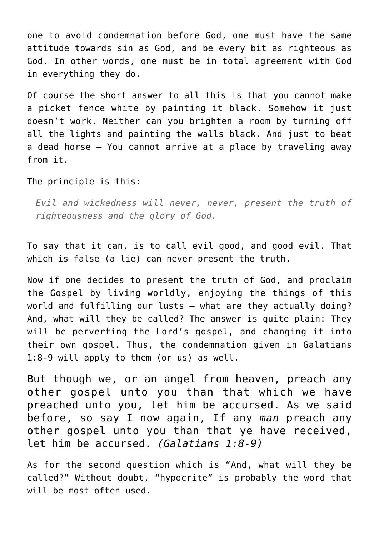one to avoid condemnation before God, one must have the same attitude towards sin as God, and be every bit as righteous as God. In other words, one must be in total agreement with God in everything they do.

Of course the short answer to all this is that you cannot make a picket fence white by painting it black. Somehow it just doesn't work. Neither can you brighten a room by turning off all the lights and painting the walls black. And just to beat a dead horse – You cannot arrive at a place by traveling away from it.

The principle is this:

*Evil and wickedness will never, never, present the truth of righteousness and the glory of God.*

To say that it can, is to call evil good, and good evil. That which is false (a lie) can never present the truth.

Now if one decides to present the truth of God, and proclaim the Gospel by living worldly, enjoying the things of this world and fulfilling our lusts – what are they actually doing? And, what will they be called? The answer is quite plain: They will be perverting the Lord's gospel, and changing it into their own gospel. Thus, the condemnation given in Galatians 1:8-9 will apply to them (or us) as well.

But though we, or an angel from heaven, preach any other gospel unto you than that which we have preached unto you, let him be accursed. As we said before, so say I now again, If any *man* preach any other gospel unto you than that ye have received, let him be accursed. *(Galatians 1:8-9)*

As for the second question which is "And, what will they be called?" Without doubt, "hypocrite" is probably the word that will be most often used.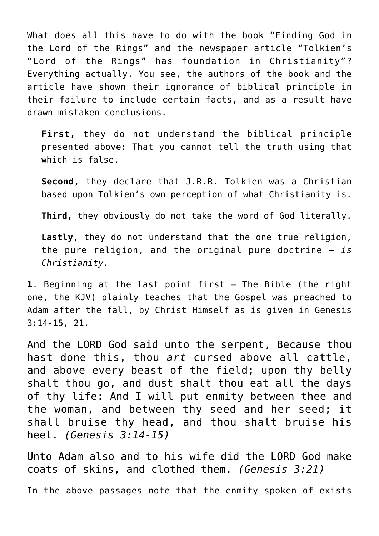What does all this have to do with the book "Finding God in the Lord of the Rings" and the newspaper article "Tolkien's "Lord of the Rings" has foundation in Christianity"? Everything actually. You see, the authors of the book and the article have shown their ignorance of biblical principle in their failure to include certain facts, and as a result have drawn mistaken conclusions.

**First,** they do not understand the biblical principle presented above: That you cannot tell the truth using that which is false.

**Second,** they declare that J.R.R. Tolkien was a Christian based upon Tolkien's own perception of what Christianity is.

**Third,** they obviously do not take the word of God literally.

**Lastly**, they do not understand that the one true religion, the pure religion, and the original pure doctrine – *is Christianity.*

**1**. Beginning at the last point first – The Bible (the right one, the KJV) plainly teaches that the Gospel was preached to Adam after the fall, by Christ Himself as is given in Genesis 3:14-15, 21.

And the LORD God said unto the serpent, Because thou hast done this, thou *art* cursed above all cattle, and above every beast of the field; upon thy belly shalt thou go, and dust shalt thou eat all the days of thy life: And I will put enmity between thee and the woman, and between thy seed and her seed; it shall bruise thy head, and thou shalt bruise his heel. *(Genesis 3:14-15)*

Unto Adam also and to his wife did the LORD God make coats of skins, and clothed them. *(Genesis 3:21)*

In the above passages note that the enmity spoken of exists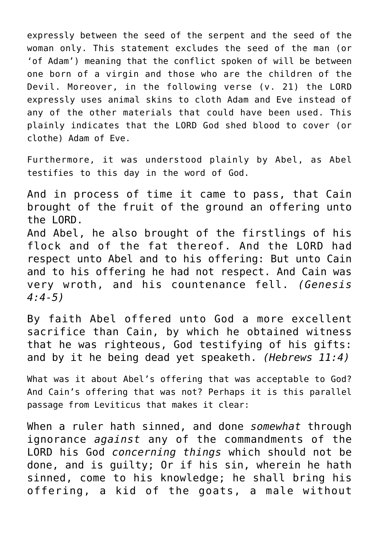expressly between the seed of the serpent and the seed of the woman only. This statement excludes the seed of the man (or 'of Adam') meaning that the conflict spoken of will be between one born of a virgin and those who are the children of the Devil. Moreover, in the following verse (v. 21) the LORD expressly uses animal skins to cloth Adam and Eve instead of any of the other materials that could have been used. This plainly indicates that the LORD God shed blood to cover (or clothe) Adam of Eve.

Furthermore, it was understood plainly by Abel, as Abel testifies to this day in the word of God.

And in process of time it came to pass, that Cain brought of the fruit of the ground an offering unto the LORD. And Abel, he also brought of the firstlings of his flock and of the fat thereof. And the LORD had respect unto Abel and to his offering: But unto Cain and to his offering he had not respect. And Cain was very wroth, and his countenance fell. *(Genesis 4:4-5)*

By faith Abel offered unto God a more excellent sacrifice than Cain, by which he obtained witness that he was righteous, God testifying of his gifts: and by it he being dead yet speaketh. *(Hebrews 11:4)*

What was it about Abel's offering that was acceptable to God? And Cain's offering that was not? Perhaps it is this parallel passage from Leviticus that makes it clear:

When a ruler hath sinned, and done *somewhat* through ignorance *against* any of the commandments of the LORD his God *concerning things* which should not be done, and is guilty; Or if his sin, wherein he hath sinned, come to his knowledge; he shall bring his offering, a kid of the goats, a male without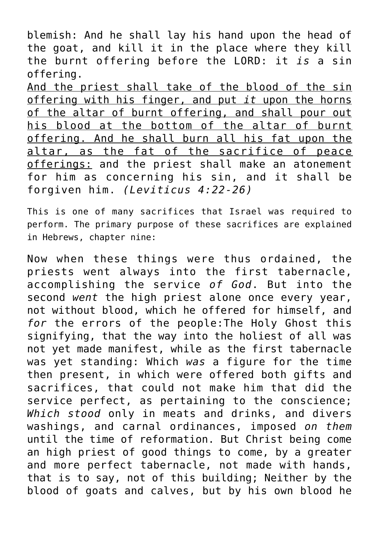blemish: And he shall lay his hand upon the head of the goat, and kill it in the place where they kill the burnt offering before the LORD: it *is* a sin offering.

And the priest shall take of the blood of the sin offering with his finger, and put *it* upon the horns of the altar of burnt offering, and shall pour out his blood at the bottom of the altar of burnt offering. And he shall burn all his fat upon the altar, as the fat of the sacrifice of peace offerings: and the priest shall make an atonement for him as concerning his sin, and it shall be forgiven him. *(Leviticus 4:22-26)*

This is one of many sacrifices that Israel was required to perform. The primary purpose of these sacrifices are explained in Hebrews, chapter nine:

Now when these things were thus ordained, the priests went always into the first tabernacle, accomplishing the service *of God*. But into the second *went* the high priest alone once every year, not without blood, which he offered for himself, and *for* the errors of the people:The Holy Ghost this signifying, that the way into the holiest of all was not yet made manifest, while as the first tabernacle was yet standing: Which *was* a figure for the time then present, in which were offered both gifts and sacrifices, that could not make him that did the service perfect, as pertaining to the conscience; *Which stood* only in meats and drinks, and divers washings, and carnal ordinances, imposed *on them* until the time of reformation. But Christ being come an high priest of good things to come, by a greater and more perfect tabernacle, not made with hands, that is to say, not of this building; Neither by the blood of goats and calves, but by his own blood he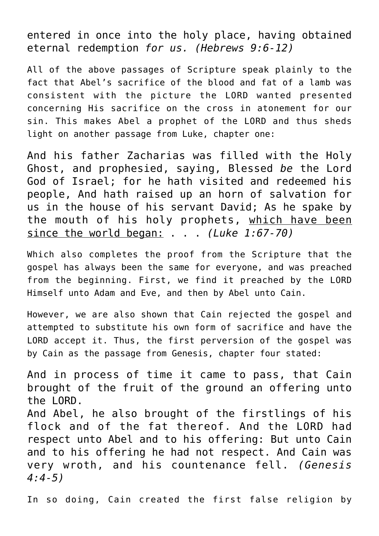entered in once into the holy place, having obtained eternal redemption *for us. (Hebrews 9:6-12)*

All of the above passages of Scripture speak plainly to the fact that Abel's sacrifice of the blood and fat of a lamb was consistent with the picture the LORD wanted presented concerning His sacrifice on the cross in atonement for our sin. This makes Abel a prophet of the LORD and thus sheds light on another passage from Luke, chapter one:

And his father Zacharias was filled with the Holy Ghost, and prophesied, saying, Blessed *be* the Lord God of Israel; for he hath visited and redeemed his people, And hath raised up an horn of salvation for us in the house of his servant David; As he spake by the mouth of his holy prophets, which have been since the world began: . . . *(Luke 1:67-70)*

Which also completes the proof from the Scripture that the gospel has always been the same for everyone, and was preached from the beginning. First, we find it preached by the LORD Himself unto Adam and Eve, and then by Abel unto Cain.

However, we are also shown that Cain rejected the gospel and attempted to substitute his own form of sacrifice and have the LORD accept it. Thus, the first perversion of the gospel was by Cain as the passage from Genesis, chapter four stated:

And in process of time it came to pass, that Cain brought of the fruit of the ground an offering unto the LORD. And Abel, he also brought of the firstlings of his flock and of the fat thereof. And the LORD had respect unto Abel and to his offering: But unto Cain and to his offering he had not respect. And Cain was very wroth, and his countenance fell. *(Genesis 4:4-5)*

In so doing, Cain created the first false religion by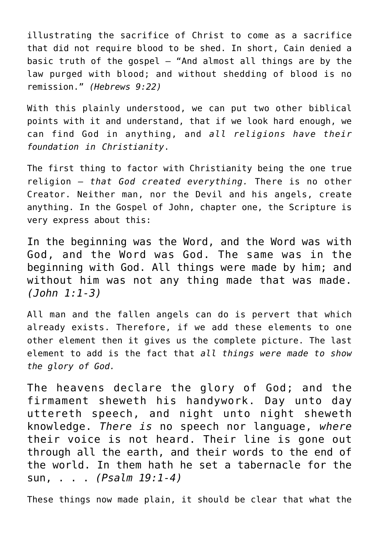illustrating the sacrifice of Christ to come as a sacrifice that did not require blood to be shed. In short, Cain denied a basic truth of the gospel  $-$  "And almost all things are by the law purged with blood; and without shedding of blood is no remission." *(Hebrews 9:22)*

With this plainly understood, we can put two other biblical points with it and understand, that if we look hard enough, we can find God in anything, and *all religions have their foundation in Christianity*.

The first thing to factor with Christianity being the one true religion — *that God created everything.* There is no other Creator. Neither man, nor the Devil and his angels, create anything. In the Gospel of John, chapter one, the Scripture is very express about this:

In the beginning was the Word, and the Word was with God, and the Word was God. The same was in the beginning with God. All things were made by him; and without him was not any thing made that was made. *(John 1:1-3)*

All man and the fallen angels can do is pervert that which already exists. Therefore, if we add these elements to one other element then it gives us the complete picture. The last element to add is the fact that *all things were made to show the glory of God.*

The heavens declare the glory of God; and the firmament sheweth his handywork. Day unto day uttereth speech, and night unto night sheweth knowledge. *There is* no speech nor language, *where* their voice is not heard. Their line is gone out through all the earth, and their words to the end of the world. In them hath he set a tabernacle for the sun, . . . *(Psalm 19:1-4)*

These things now made plain, it should be clear that what the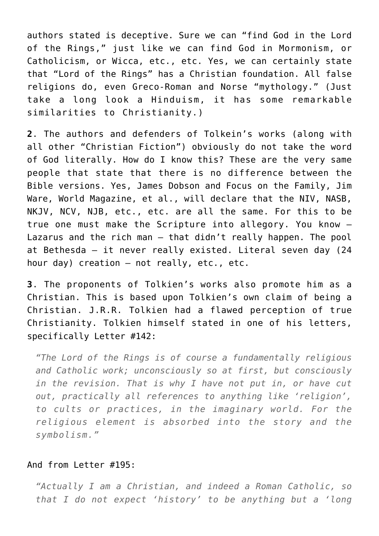authors stated is deceptive. Sure we can "find God in the Lord of the Rings," just like we can find God in Mormonism, or Catholicism, or Wicca, etc., etc. Yes, we can certainly state that "Lord of the Rings" has a Christian foundation. All false religions do, even Greco-Roman and Norse "mythology." (Just take a long look a Hinduism, it has some remarkable similarities to Christianity.)

**2**. The authors and defenders of Tolkein's works (along with all other "Christian Fiction") obviously do not take the word of God literally. How do I know this? These are the very same people that state that there is no difference between the Bible versions. Yes, James Dobson and Focus on the Family, Jim Ware, World Magazine, et al., will declare that the NIV, NASB, NKJV, NCV, NJB, etc., etc. are all the same. For this to be true one must make the Scripture into allegory. You know — Lazarus and the rich man — that didn't really happen. The pool at Bethesda — it never really existed. Literal seven day (24 hour day) creation — not really, etc., etc.

**3**. The proponents of Tolkien's works also promote him as a Christian. This is based upon Tolkien's own claim of being a Christian. J.R.R. Tolkien had a flawed perception of true Christianity. Tolkien himself stated in one of his letters, specifically Letter #142:

*"The Lord of the Rings is of course a fundamentally religious and Catholic work; unconsciously so at first, but consciously in the revision. That is why I have not put in, or have cut out, practically all references to anything like 'religion', to cults or practices, in the imaginary world. For the religious element is absorbed into the story and the symbolism."*

#### And from Letter #195:

*"Actually I am a Christian, and indeed a Roman Catholic, so that I do not expect 'history' to be anything but a 'long*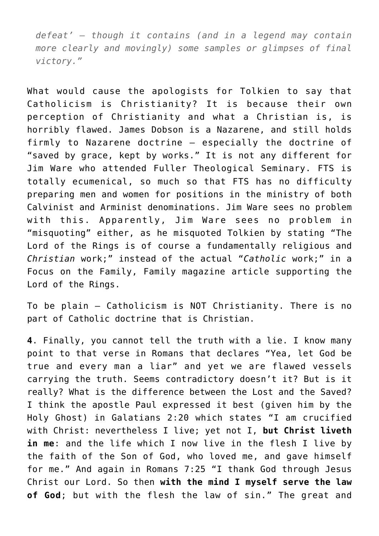*defeat' – though it contains (and in a legend may contain more clearly and movingly) some samples or glimpses of final victory."*

What would cause the apologists for Tolkien to say that Catholicism is Christianity? It is because their own perception of Christianity and what a Christian is, is horribly flawed. James Dobson is a Nazarene, and still holds firmly to Nazarene doctrine — especially the doctrine of "saved by grace, kept by works." It is not any different for Jim Ware who attended Fuller Theological Seminary. FTS is totally ecumenical, so much so that FTS has no difficulty preparing men and women for positions in the ministry of both Calvinist and Arminist denominations. Jim Ware sees no problem with this. Apparently, Jim Ware sees no problem in "misquoting" either, as he misquoted Tolkien by stating "The Lord of the Rings is of course a fundamentally religious and *Christian* work;" instead of the actual "*Catholic* work;" in a Focus on the Family, Family magazine article supporting the Lord of the Rings.

To be plain – Catholicism is NOT Christianity. There is no part of Catholic doctrine that is Christian.

**4**. Finally, you cannot tell the truth with a lie. I know many point to that verse in Romans that declares "Yea, let God be true and every man a liar" and yet we are flawed vessels carrying the truth. Seems contradictory doesn't it? But is it really? What is the difference between the Lost and the Saved? I think the apostle Paul expressed it best (given him by the Holy Ghost) in Galatians 2:20 which states "I am crucified with Christ: nevertheless I live; yet not I, **but Christ liveth in me**: and the life which I now live in the flesh I live by the faith of the Son of God, who loved me, and gave himself for me." And again in Romans 7:25 "I thank God through Jesus Christ our Lord. So then **with the mind I myself serve the law of God**; but with the flesh the law of sin." The great and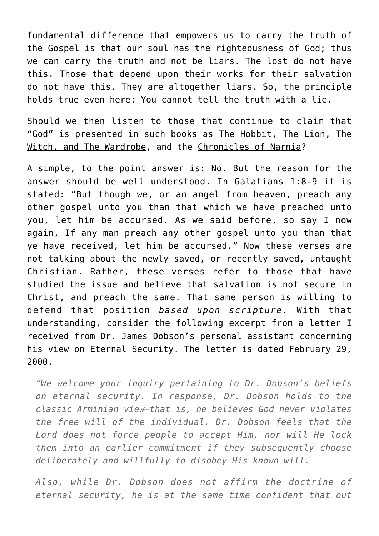fundamental difference that empowers us to carry the truth of the Gospel is that our soul has the righteousness of God; thus we can carry the truth and not be liars. The lost do not have this. Those that depend upon their works for their salvation do not have this. They are altogether liars. So, the principle holds true even here: You cannot tell the truth with a lie.

Should we then listen to those that continue to claim that "God" is presented in such books as The Hobbit, The Lion, The Witch, and The Wardrobe, and the Chronicles of Narnia?

A simple, to the point answer is: No. But the reason for the answer should be well understood. In Galatians 1:8-9 it is stated: "But though we, or an angel from heaven, preach any other gospel unto you than that which we have preached unto you, let him be accursed. As we said before, so say I now again, If any man preach any other gospel unto you than that ye have received, let him be accursed." Now these verses are not talking about the newly saved, or recently saved, untaught Christian. Rather, these verses refer to those that have studied the issue and believe that salvation is not secure in Christ, and preach the same. That same person is willing to defend that position *based upon scripture.* With that understanding, consider the following excerpt from a letter I received from Dr. James Dobson's personal assistant concerning his view on Eternal Security. The letter is dated February 29, 2000.

*"We welcome your inquiry pertaining to Dr. Dobson's beliefs on eternal security. In response, Dr. Dobson holds to the classic Arminian view–that is, he believes God never violates the free will of the individual. Dr. Dobson feels that the Lord does not force people to accept Him, nor will He lock them into an earlier commitment if they subsequently choose deliberately and willfully to disobey His known will.*

*Also, while Dr. Dobson does not affirm the doctrine of eternal security, he is at the same time confident that out*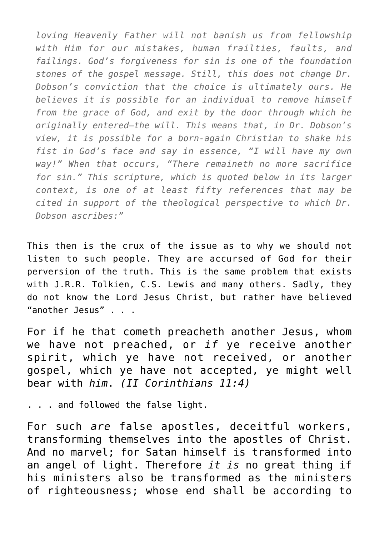*loving Heavenly Father will not banish us from fellowship with Him for our mistakes, human frailties, faults, and failings. God's forgiveness for sin is one of the foundation stones of the gospel message. Still, this does not change Dr. Dobson's conviction that the choice is ultimately ours. He believes it is possible for an individual to remove himself from the grace of God, and exit by the door through which he originally entered–the will. This means that, in Dr. Dobson's view, it is possible for a born-again Christian to shake his fist in God's face and say in essence, "I will have my own way!" When that occurs, "There remaineth no more sacrifice for sin." This scripture, which is quoted below in its larger context, is one of at least fifty references that may be cited in support of the theological perspective to which Dr. Dobson ascribes:"*

This then is the crux of the issue as to why we should not listen to such people. They are accursed of God for their perversion of the truth. This is the same problem that exists with J.R.R. Tolkien, C.S. Lewis and many others. Sadly, they do not know the Lord Jesus Christ, but rather have believed "another Jesus" . . .

For if he that cometh preacheth another Jesus, whom we have not preached, or *if* ye receive another spirit, which ye have not received, or another gospel, which ye have not accepted, ye might well bear with *him*. *(II Corinthians 11:4)*

. . . and followed the false light.

For such *are* false apostles, deceitful workers, transforming themselves into the apostles of Christ. And no marvel; for Satan himself is transformed into an angel of light. Therefore *it is* no great thing if his ministers also be transformed as the ministers of righteousness; whose end shall be according to